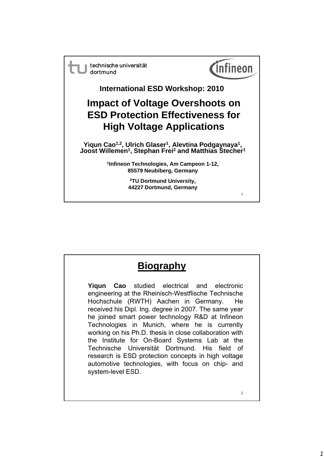technische universität dortmund



1

**International ESD Workshop: 2010**

## **Impact of Voltage Overshoots on Impact of Voltage Overshoots ESD Protection Effectiveness for High Voltage Applications**

**Yiqun Cao1,2, Ulrich Glaser1, Alevtina Podgaynaya1, Joost Willemen1, Stephan Frei2 and Matthias Stecher1 , p**

**1Infineon Technologies, Am Campeon 1-12, 85579 Neubiberg, Germany**

> **2TU Dortmund University, 44227 Dortmund, Germany**

## **Biography**

**Yiqun Cao** studied electrical and electronic engineering at the Rheinisch-Westflische Technische Hochschule (RWTH) Aachen in Germany. He received his Dipl. Ing. degree in 2007. The same year he joined smart power technology R&D at Infineon Technologies in Munich, where he is currently working on his Ph.D. thesis in close collaboration with the Institute for On-Board Systems Lab at the Technische Universität Dortmund. His field of research is ESD protection concepts in high voltage automotive technologies, with focus on chip- and system-level ESD.

2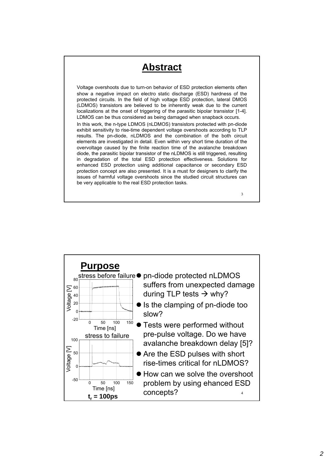## **Abstract**

Voltage overshoots due to turn-on behavior of ESD protection elements often show a negative impact on electro static discharge (ESD) hardness of the protected circuits. In the field of high voltage ESD protection, lateral DMOS (LDMOS) transistors are believed to be inherently weak due to the current localizations at the onset of triggering of the parasitic bipolar transistor [1-4]. LDMOS can be thus considered as being damaged when snapback occurs. In this work, the n-type LDMOS (nLDMOS) transistors protected with pn-diode exhibit sensitivity to rise-time dependent voltage overshoots according to TLP results. The pn-diode, nLDMOS and the combination of the both circuit elements are investigated in detail. Even within very short time duration of the overvoltage caused by the finite reaction time of the avalanche breakdown diode, the parasitic bipolar transistor of the nLDMOS is still triggered, resulting in degradation of the total ESD protection effectiveness. Solutions for enhanced ESD protection using additional capacitance or secondary ESD protection concept are also presented. It is a must for designers to clarify the issues of harmful voltage overshoots since the studied circuit structures can be very applicable to the real ESD protection tasks.

3

**Purpose** <sub>80</sub> stress before failure● pn-diode protected nLDMOS suffers from unexpected damage during TLP tests  $\rightarrow$  why?  $20$  Is the clamping of pn-diode too 40  $\sum_{\text{60}}^{60}$   $\frac{40}{30}$ slow? **• Tests were performed without** pre-pulse voltage. Do we have avalanche breakdown delay [5]?  $^{\mathsf{50}}$   $\begin{tabular}{|c|c|c|} \hline \quad \quad & \quad \bullet \end{tabular}$  Are the ESD pulses with short 100  $\rm \Sigma$ 0 50 100 150 -20 5 20<br>> 。 Time [ns] stress to failure rise-times critical for nLDMOS? ● How can we solve the overshoot problem by using ehanced ESD concepts?  $t_r = 100ps$ 0 50 100 150 -50 0 Voltage [ Time [ns]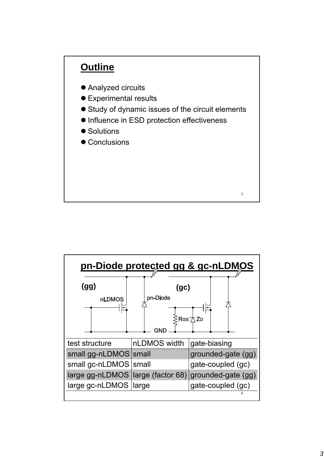

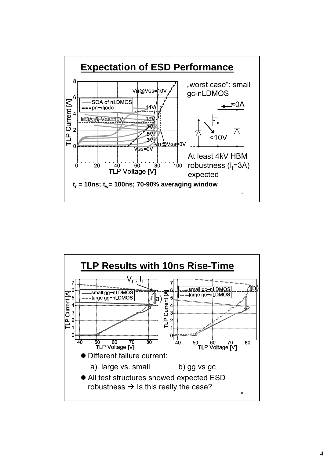

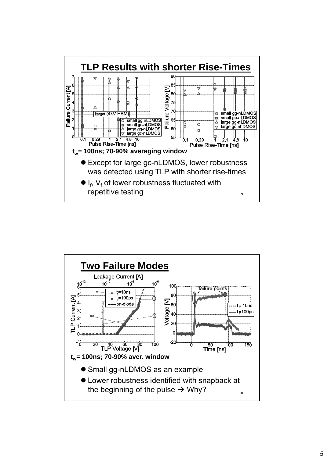

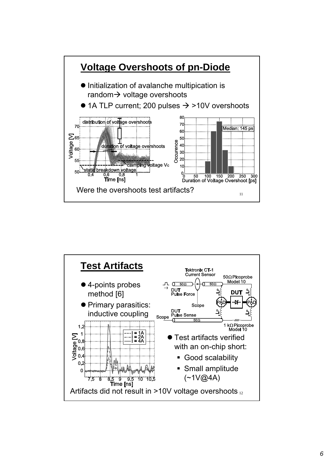

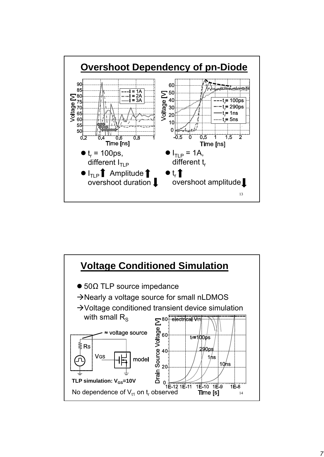

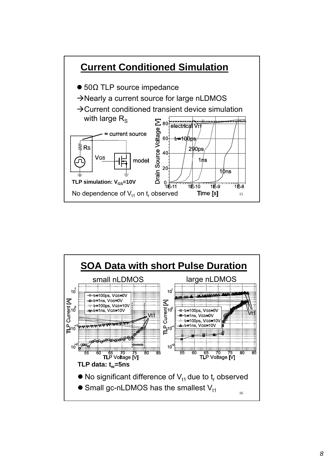

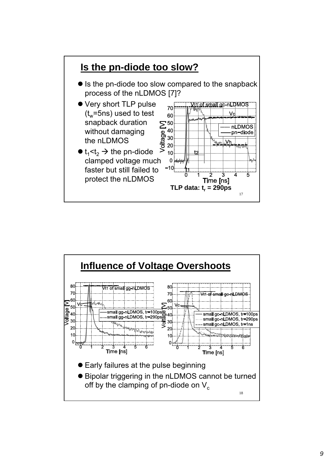

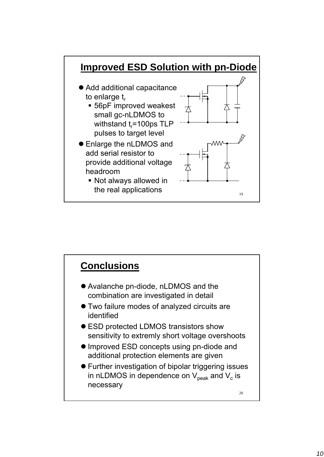